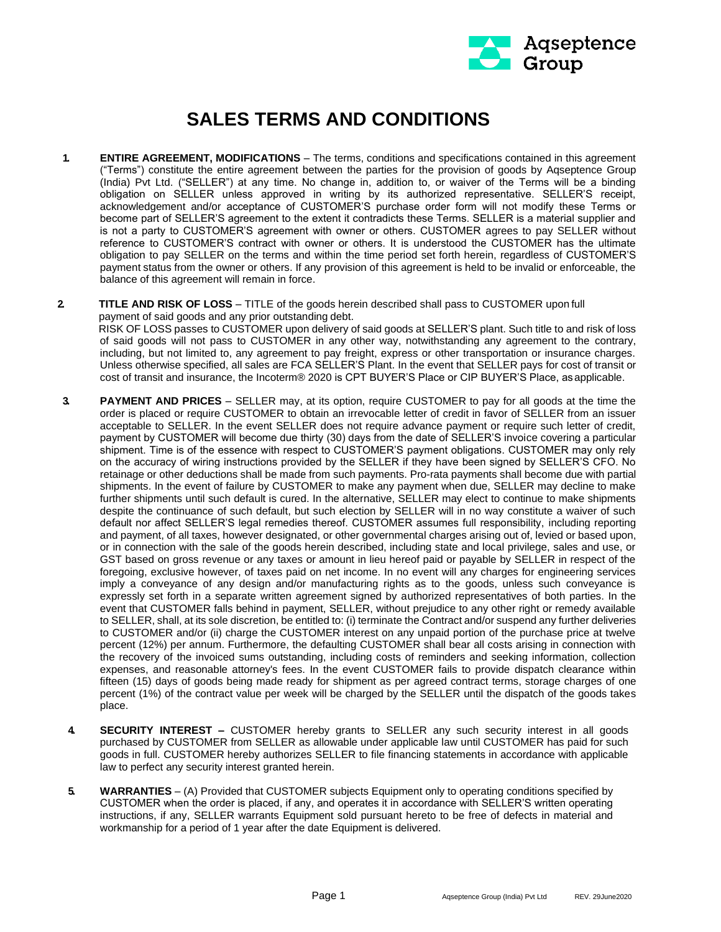

## **SALES TERMS AND CONDITIONS**

- **1. ENTIRE AGREEMENT, MODIFICATIONS**  The terms, conditions and specifications contained in this agreement ("Terms") constitute the entire agreement between the parties for the provision of goods by Aqseptence Group (India) Pvt Ltd. ("SELLER") at any time. No change in, addition to, or waiver of the Terms will be a binding obligation on SELLER unless approved in writing by its authorized representative. SELLER'S receipt, acknowledgement and/or acceptance of CUSTOMER'S purchase order form will not modify these Terms or become part of SELLER'S agreement to the extent it contradicts these Terms. SELLER is a material supplier and is not a party to CUSTOMER'S agreement with owner or others. CUSTOMER agrees to pay SELLER without reference to CUSTOMER'S contract with owner or others. It is understood the CUSTOMER has the ultimate obligation to pay SELLER on the terms and within the time period set forth herein, regardless of CUSTOMER'S payment status from the owner or others. If any provision of this agreement is held to be invalid or enforceable, the balance of this agreement will remain in force.
- **2. TITLE AND RISK OF LOSS**  TITLE of the goods herein described shall pass to CUSTOMER upon full payment of said goods and any prior outstanding debt. RISK OF LOSS passes to CUSTOMER upon delivery of said goods at SELLER'S plant. Such title to and risk of loss of said goods will not pass to CUSTOMER in any other way, notwithstanding any agreement to the contrary, including, but not limited to, any agreement to pay freight, express or other transportation or insurance charges. Unless otherwise specified, all sales are FCA SELLER'S Plant. In the event that SELLER pays for cost of transit or cost of transit and insurance, the Incoterm® 2020 is CPT BUYER'S Place or CIP BUYER'S Place, asapplicable.
- **3. PAYMENT AND PRICES**  SELLER may, at its option, require CUSTOMER to pay for all goods at the time the order is placed or require CUSTOMER to obtain an irrevocable letter of credit in favor of SELLER from an issuer acceptable to SELLER. In the event SELLER does not require advance payment or require such letter of credit, payment by CUSTOMER will become due thirty (30) days from the date of SELLER'S invoice covering a particular shipment. Time is of the essence with respect to CUSTOMER'S payment obligations. CUSTOMER may only rely on the accuracy of wiring instructions provided by the SELLER if they have been signed by SELLER'S CFO. No retainage or other deductions shall be made from such payments. Pro-rata payments shall become due with partial shipments. In the event of failure by CUSTOMER to make any payment when due, SELLER may decline to make further shipments until such default is cured. In the alternative, SELLER may elect to continue to make shipments despite the continuance of such default, but such election by SELLER will in no way constitute a waiver of such default nor affect SELLER'S legal remedies thereof. CUSTOMER assumes full responsibility, including reporting and payment, of all taxes, however designated, or other governmental charges arising out of, levied or based upon, or in connection with the sale of the goods herein described, including state and local privilege, sales and use, or GST based on gross revenue or any taxes or amount in lieu hereof paid or payable by SELLER in respect of the foregoing, exclusive however, of taxes paid on net income. In no event will any charges for engineering services imply a conveyance of any design and/or manufacturing rights as to the goods, unless such conveyance is expressly set forth in a separate written agreement signed by authorized representatives of both parties. In the event that CUSTOMER falls behind in payment, SELLER, without prejudice to any other right or remedy available to SELLER, shall, at its sole discretion, be entitled to: (i) terminate the Contract and/or suspend any further deliveries to CUSTOMER and/or (ii) charge the CUSTOMER interest on any unpaid portion of the purchase price at twelve percent (12%) per annum. Furthermore, the defaulting CUSTOMER shall bear all costs arising in connection with the recovery of the invoiced sums outstanding, including costs of reminders and seeking information, collection expenses, and reasonable attorney's fees. In the event CUSTOMER fails to provide dispatch clearance within fifteen (15) days of goods being made ready for shipment as per agreed contract terms, storage charges of one percent (1%) of the contract value per week will be charged by the SELLER until the dispatch of the goods takes place.
- **4. SECURITY INTEREST –** CUSTOMER hereby grants to SELLER any such security interest in all goods purchased by CUSTOMER from SELLER as allowable under applicable law until CUSTOMER has paid for such goods in full. CUSTOMER hereby authorizes SELLER to file financing statements in accordance with applicable law to perfect any security interest granted herein.
- **5. WARRANTIES**  (A) Provided that CUSTOMER subjects Equipment only to operating conditions specified by CUSTOMER when the order is placed, if any, and operates it in accordance with SELLER'S written operating instructions, if any, SELLER warrants Equipment sold pursuant hereto to be free of defects in material and workmanship for a period of 1 year after the date Equipment is delivered.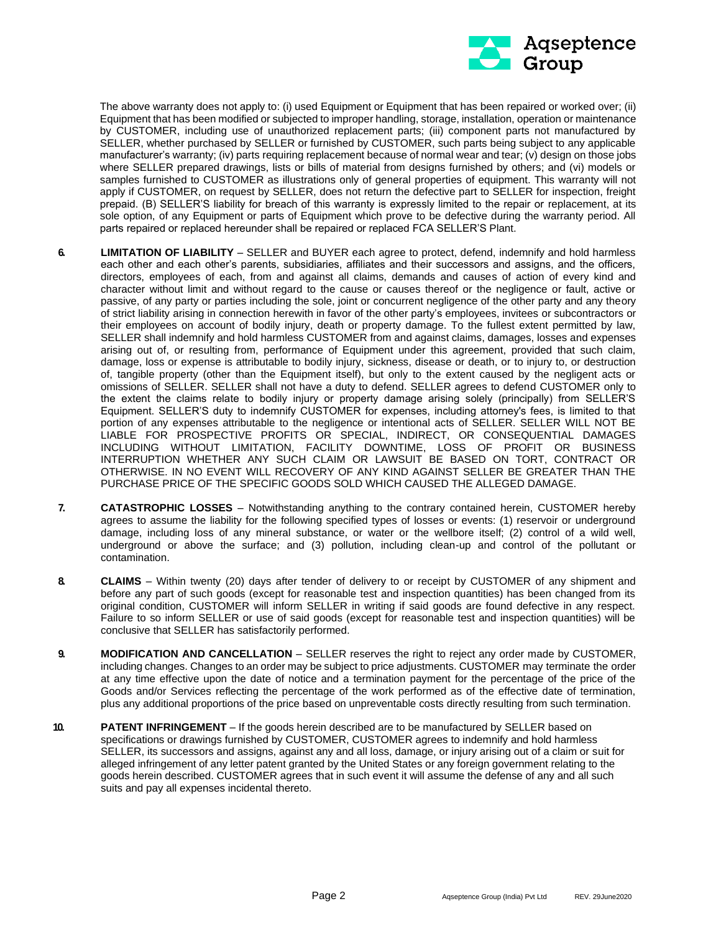

The above warranty does not apply to: (i) used Equipment or Equipment that has been repaired or worked over; (ii) Equipment that has been modified or subjected to improper handling, storage, installation, operation or maintenance by CUSTOMER, including use of unauthorized replacement parts; (iii) component parts not manufactured by SELLER, whether purchased by SELLER or furnished by CUSTOMER, such parts being subject to any applicable manufacturer's warranty; (iv) parts requiring replacement because of normal wear and tear; (v) design on those jobs where SELLER prepared drawings, lists or bills of material from designs furnished by others; and (vi) models or samples furnished to CUSTOMER as illustrations only of general properties of equipment. This warranty will not apply if CUSTOMER, on request by SELLER, does not return the defective part to SELLER for inspection, freight prepaid. (B) SELLER'S liability for breach of this warranty is expressly limited to the repair or replacement, at its sole option, of any Equipment or parts of Equipment which prove to be defective during the warranty period. All parts repaired or replaced hereunder shall be repaired or replaced FCA SELLER'S Plant.

- **6. LIMITATION OF LIABILITY**  SELLER and BUYER each agree to protect, defend, indemnify and hold harmless each other and each other's parents, subsidiaries, affiliates and their successors and assigns, and the officers, directors, employees of each, from and against all claims, demands and causes of action of every kind and character without limit and without regard to the cause or causes thereof or the negligence or fault, active or passive, of any party or parties including the sole, joint or concurrent negligence of the other party and any theory of strict liability arising in connection herewith in favor of the other party's employees, invitees or subcontractors or their employees on account of bodily injury, death or property damage. To the fullest extent permitted by law, SELLER shall indemnify and hold harmless CUSTOMER from and against claims, damages, losses and expenses arising out of, or resulting from, performance of Equipment under this agreement, provided that such claim, damage, loss or expense is attributable to bodily injury, sickness, disease or death, or to injury to, or destruction of, tangible property (other than the Equipment itself), but only to the extent caused by the negligent acts or omissions of SELLER. SELLER shall not have a duty to defend. SELLER agrees to defend CUSTOMER only to the extent the claims relate to bodily injury or property damage arising solely (principally) from SELLER'S Equipment. SELLER'S duty to indemnify CUSTOMER for expenses, including attorney's fees, is limited to that portion of any expenses attributable to the negligence or intentional acts of SELLER. SELLER WILL NOT BE LIABLE FOR PROSPECTIVE PROFITS OR SPECIAL, INDIRECT, OR CONSEQUENTIAL DAMAGES INCLUDING WITHOUT LIMITATION, FACILITY DOWNTIME, LOSS OF PROFIT OR BUSINESS INTERRUPTION WHETHER ANY SUCH CLAIM OR LAWSUIT BE BASED ON TORT, CONTRACT OR OTHERWISE. IN NO EVENT WILL RECOVERY OF ANY KIND AGAINST SELLER BE GREATER THAN THE PURCHASE PRICE OF THE SPECIFIC GOODS SOLD WHICH CAUSED THE ALLEGED DAMAGE.
- **7. CATASTROPHIC LOSSES**  Notwithstanding anything to the contrary contained herein, CUSTOMER hereby agrees to assume the liability for the following specified types of losses or events: (1) reservoir or underground damage, including loss of any mineral substance, or water or the wellbore itself; (2) control of a wild well, underground or above the surface; and (3) pollution, including clean-up and control of the pollutant or contamination.
- **8. CLAIMS**  Within twenty (20) days after tender of delivery to or receipt by CUSTOMER of any shipment and before any part of such goods (except for reasonable test and inspection quantities) has been changed from its original condition, CUSTOMER will inform SELLER in writing if said goods are found defective in any respect. Failure to so inform SELLER or use of said goods (except for reasonable test and inspection quantities) will be conclusive that SELLER has satisfactorily performed.
- **9. MODIFICATION AND CANCELLATION**  SELLER reserves the right to reject any order made by CUSTOMER, including changes. Changes to an order may be subject to price adjustments. CUSTOMER may terminate the order at any time effective upon the date of notice and a termination payment for the percentage of the price of the Goods and/or Services reflecting the percentage of the work performed as of the effective date of termination, plus any additional proportions of the price based on unpreventable costs directly resulting from such termination.
- **10. PATENT INFRINGEMENT** If the goods herein described are to be manufactured by SELLER based on specifications or drawings furnished by CUSTOMER, CUSTOMER agrees to indemnify and hold harmless SELLER, its successors and assigns, against any and all loss, damage, or injury arising out of a claim or suit for alleged infringement of any letter patent granted by the United States or any foreign government relating to the goods herein described. CUSTOMER agrees that in such event it will assume the defense of any and all such suits and pay all expenses incidental thereto.